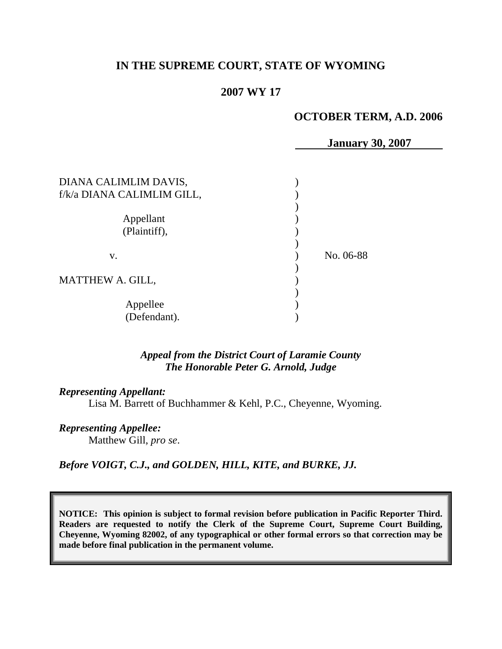# **IN THE SUPREME COURT, STATE OF WYOMING**

#### **2007 WY 17**

### **OCTOBER TERM, A.D. 2006**

**January 30, 2007**

| DIANA CALIMLIM DAVIS,<br>f/k/a DIANA CALIMLIM GILL, |           |
|-----------------------------------------------------|-----------|
| Appellant<br>(Plaintiff),                           |           |
| V.                                                  | No. 06-88 |
| <b>MATTHEW A. GILL,</b>                             |           |
| Appellee<br>(Defendant).                            |           |

# *Appeal from the District Court of Laramie County The Honorable Peter G. Arnold, Judge*

#### *Representing Appellant:*

Lisa M. Barrett of Buchhammer & Kehl, P.C., Cheyenne, Wyoming.

# *Representing Appellee:*

Matthew Gill, *pro se*.

*Before VOIGT, C.J., and GOLDEN, HILL, KITE, and BURKE, JJ.*

**NOTICE: This opinion is subject to formal revision before publication in Pacific Reporter Third. Readers are requested to notify the Clerk of the Supreme Court, Supreme Court Building, Cheyenne, Wyoming 82002, of any typographical or other formal errors so that correction may be made before final publication in the permanent volume.**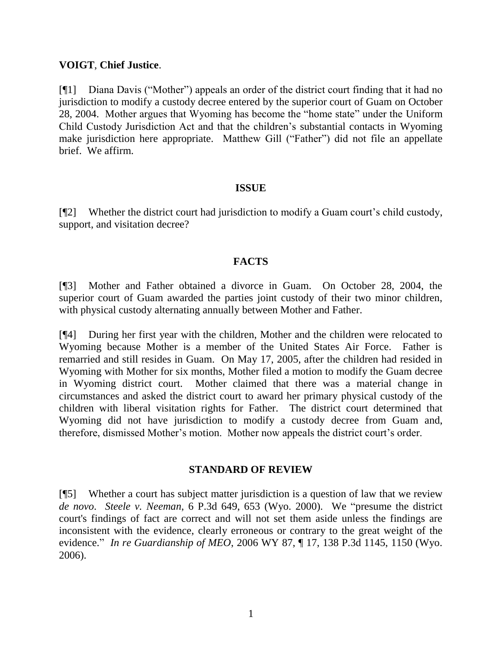## **VOIGT**, **Chief Justice**.

[¶1] Diana Davis ("Mother") appeals an order of the district court finding that it had no jurisdiction to modify a custody decree entered by the superior court of Guam on October 28, 2004. Mother argues that Wyoming has become the "home state" under the Uniform Child Custody Jurisdiction Act and that the children's substantial contacts in Wyoming make jurisdiction here appropriate. Matthew Gill ("Father") did not file an appellate brief. We affirm.

# **ISSUE**

[¶2] Whether the district court had jurisdiction to modify a Guam court's child custody, support, and visitation decree?

# **FACTS**

[¶3] Mother and Father obtained a divorce in Guam. On October 28, 2004, the superior court of Guam awarded the parties joint custody of their two minor children, with physical custody alternating annually between Mother and Father.

[¶4] During her first year with the children, Mother and the children were relocated to Wyoming because Mother is a member of the United States Air Force. Father is remarried and still resides in Guam. On May 17, 2005, after the children had resided in Wyoming with Mother for six months, Mother filed a motion to modify the Guam decree in Wyoming district court. Mother claimed that there was a material change in circumstances and asked the district court to award her primary physical custody of the children with liberal visitation rights for Father. The district court determined that Wyoming did not have jurisdiction to modify a custody decree from Guam and, therefore, dismissed Mother's motion. Mother now appeals the district court's order.

### **STANDARD OF REVIEW**

[¶5] Whether a court has subject matter jurisdiction is a question of law that we review *de novo*. *Steele v. Neeman*, 6 P.3d 649, 653 (Wyo. 2000). We "presume the district court's findings of fact are correct and will not set them aside unless the findings are inconsistent with the evidence, clearly erroneous or contrary to the great weight of the evidence." *In re Guardianship of MEO*, 2006 WY 87, ¶ 17, 138 P.3d 1145, 1150 (Wyo. 2006).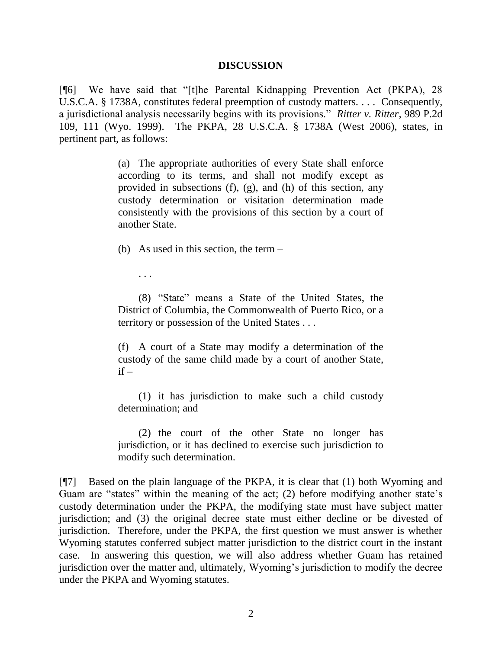#### **DISCUSSION**

[¶6] We have said that "[t]he Parental Kidnapping Prevention Act (PKPA), 28 U.S.C.A. § 1738A, constitutes federal preemption of custody matters. . . . Consequently, a jurisdictional analysis necessarily begins with its provisions." *Ritter v. Ritter*, 989 P.2d 109, 111 (Wyo. 1999). The PKPA, 28 U.S.C.A. § 1738A (West 2006), states, in pertinent part, as follows:

> (a) The appropriate authorities of every State shall enforce according to its terms, and shall not modify except as provided in subsections (f), (g), and (h) of this section, any custody determination or visitation determination made consistently with the provisions of this section by a court of another State.

(b) As used in this section, the term –

. . .

(8) "State" means a State of the United States, the District of Columbia, the Commonwealth of Puerto Rico, or a territory or possession of the United States . . .

(f) A court of a State may modify a determination of the custody of the same child made by a court of another State,  $if -$ 

(1) it has jurisdiction to make such a child custody determination; and

(2) the court of the other State no longer has jurisdiction, or it has declined to exercise such jurisdiction to modify such determination.

[¶7] Based on the plain language of the PKPA, it is clear that (1) both Wyoming and Guam are "states" within the meaning of the act; (2) before modifying another state's custody determination under the PKPA, the modifying state must have subject matter jurisdiction; and (3) the original decree state must either decline or be divested of jurisdiction. Therefore, under the PKPA, the first question we must answer is whether Wyoming statutes conferred subject matter jurisdiction to the district court in the instant case. In answering this question, we will also address whether Guam has retained jurisdiction over the matter and, ultimately, Wyoming's jurisdiction to modify the decree under the PKPA and Wyoming statutes.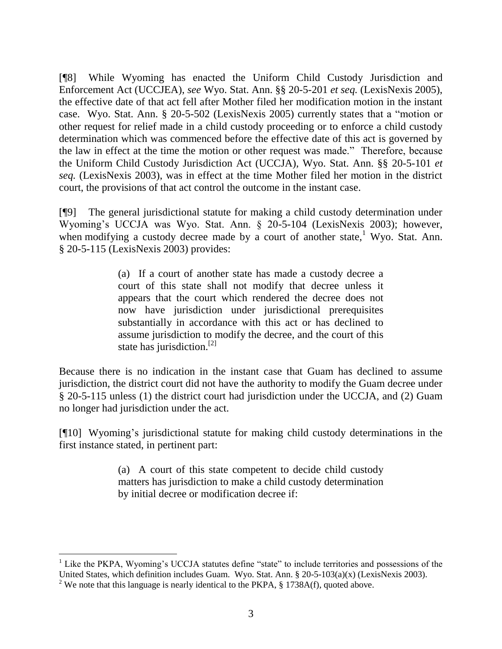[¶8] While Wyoming has enacted the Uniform Child Custody Jurisdiction and Enforcement Act (UCCJEA), *see* Wyo. Stat. Ann. §§ 20-5-201 *et seq.* (LexisNexis 2005), the effective date of that act fell after Mother filed her modification motion in the instant case. Wyo. Stat. Ann. § 20-5-502 (LexisNexis 2005) currently states that a "motion or other request for relief made in a child custody proceeding or to enforce a child custody determination which was commenced before the effective date of this act is governed by the law in effect at the time the motion or other request was made." Therefore, because the Uniform Child Custody Jurisdiction Act (UCCJA), Wyo. Stat. Ann. §§ 20-5-101 *et seq.* (LexisNexis 2003), was in effect at the time Mother filed her motion in the district court, the provisions of that act control the outcome in the instant case.

[¶9] The general jurisdictional statute for making a child custody determination under Wyoming's UCCJA was Wyo. Stat. Ann. § 20-5-104 (LexisNexis 2003); however, when modifying a custody decree made by a court of another state,  $\frac{1}{1}$  Wyo. Stat. Ann. § 20-5-115 (LexisNexis 2003) provides:

> (a) If a court of another state has made a custody decree a court of this state shall not modify that decree unless it appears that the court which rendered the decree does not now have jurisdiction under jurisdictional prerequisites substantially in accordance with this act or has declined to assume jurisdiction to modify the decree, and the court of this state has jurisdiction.<sup>[2]</sup>

Because there is no indication in the instant case that Guam has declined to assume jurisdiction, the district court did not have the authority to modify the Guam decree under § 20-5-115 unless (1) the district court had jurisdiction under the UCCJA, and (2) Guam no longer had jurisdiction under the act.

[¶10] Wyoming's jurisdictional statute for making child custody determinations in the first instance stated, in pertinent part:

> (a) A court of this state competent to decide child custody matters has jurisdiction to make a child custody determination by initial decree or modification decree if:

<sup>&</sup>lt;sup>1</sup> Like the PKPA, Wyoming's UCCJA statutes define "state" to include territories and possessions of the United States, which definition includes Guam. Wyo. Stat. Ann. § 20-5-103(a)(x) (LexisNexis 2003).

<sup>&</sup>lt;sup>2</sup> We note that this language is nearly identical to the PKPA,  $\S$  1738A(f), quoted above.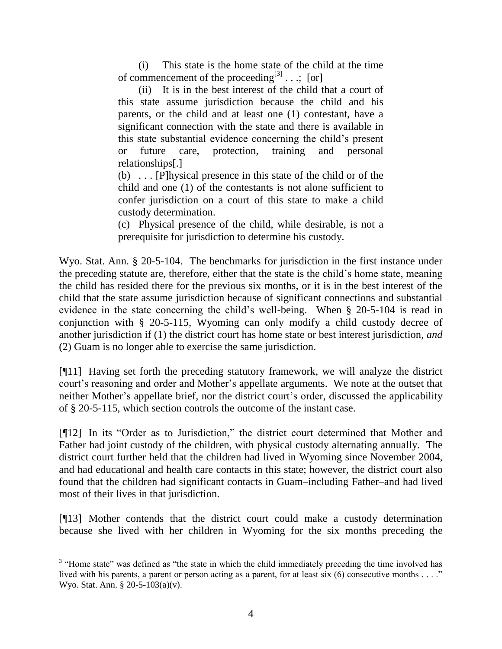(i) This state is the home state of the child at the time of commencement of the proceeding<sup>[3]</sup>...; [or]

(ii) It is in the best interest of the child that a court of this state assume jurisdiction because the child and his parents, or the child and at least one (1) contestant, have a significant connection with the state and there is available in this state substantial evidence concerning the child's present or future care, protection, training and personal relationships[.]

(b) . . . [P]hysical presence in this state of the child or of the child and one (1) of the contestants is not alone sufficient to confer jurisdiction on a court of this state to make a child custody determination.

(c) Physical presence of the child, while desirable, is not a prerequisite for jurisdiction to determine his custody.

Wyo. Stat. Ann. § 20-5-104. The benchmarks for jurisdiction in the first instance under the preceding statute are, therefore, either that the state is the child's home state, meaning the child has resided there for the previous six months, or it is in the best interest of the child that the state assume jurisdiction because of significant connections and substantial evidence in the state concerning the child's well-being. When § 20-5-104 is read in conjunction with § 20-5-115, Wyoming can only modify a child custody decree of another jurisdiction if (1) the district court has home state or best interest jurisdiction, *and* (2) Guam is no longer able to exercise the same jurisdiction.

[¶11] Having set forth the preceding statutory framework, we will analyze the district court's reasoning and order and Mother's appellate arguments. We note at the outset that neither Mother's appellate brief, nor the district court's order, discussed the applicability of § 20-5-115, which section controls the outcome of the instant case.

[¶12] In its "Order as to Jurisdiction," the district court determined that Mother and Father had joint custody of the children, with physical custody alternating annually. The district court further held that the children had lived in Wyoming since November 2004, and had educational and health care contacts in this state; however, the district court also found that the children had significant contacts in Guam–including Father–and had lived most of their lives in that jurisdiction.

[¶13] Mother contends that the district court could make a custody determination because she lived with her children in Wyoming for the six months preceding the

 <sup>3</sup> "Home state" was defined as "the state in which the child immediately preceding the time involved has lived with his parents, a parent or person acting as a parent, for at least six (6) consecutive months . . . ." Wyo. Stat. Ann. § 20-5-103(a)(v).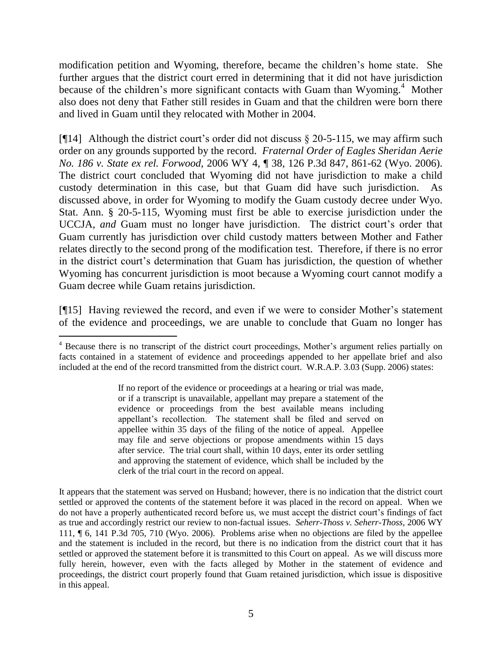modification petition and Wyoming, therefore, became the children's home state. She further argues that the district court erred in determining that it did not have jurisdiction because of the children's more significant contacts with Guam than Wyoming.<sup>4</sup> Mother also does not deny that Father still resides in Guam and that the children were born there and lived in Guam until they relocated with Mother in 2004.

[ $[14]$ ] Although the district court's order did not discuss  $\S$  20-5-115, we may affirm such order on any grounds supported by the record. *Fraternal Order of Eagles Sheridan Aerie No. 186 v. State ex rel. Forwood*, 2006 WY 4, ¶ 38, 126 P.3d 847, 861-62 (Wyo. 2006). The district court concluded that Wyoming did not have jurisdiction to make a child custody determination in this case, but that Guam did have such jurisdiction. As discussed above, in order for Wyoming to modify the Guam custody decree under Wyo. Stat. Ann. § 20-5-115, Wyoming must first be able to exercise jurisdiction under the UCCJA, *and* Guam must no longer have jurisdiction. The district court's order that Guam currently has jurisdiction over child custody matters between Mother and Father relates directly to the second prong of the modification test. Therefore, if there is no error in the district court's determination that Guam has jurisdiction, the question of whether Wyoming has concurrent jurisdiction is moot because a Wyoming court cannot modify a Guam decree while Guam retains jurisdiction.

[¶15] Having reviewed the record, and even if we were to consider Mother's statement of the evidence and proceedings, we are unable to conclude that Guam no longer has

 $\overline{a}$ 

It appears that the statement was served on Husband; however, there is no indication that the district court settled or approved the contents of the statement before it was placed in the record on appeal. When we do not have a properly authenticated record before us, we must accept the district court's findings of fact as true and accordingly restrict our review to non-factual issues. *Seherr-Thoss v. Seherr-Thoss*, 2006 WY 111, ¶ 6, 141 P.3d 705, 710 (Wyo. 2006). Problems arise when no objections are filed by the appellee and the statement is included in the record, but there is no indication from the district court that it has settled or approved the statement before it is transmitted to this Court on appeal. As we will discuss more fully herein, however, even with the facts alleged by Mother in the statement of evidence and proceedings, the district court properly found that Guam retained jurisdiction, which issue is dispositive in this appeal.

<sup>&</sup>lt;sup>4</sup> Because there is no transcript of the district court proceedings, Mother's argument relies partially on facts contained in a statement of evidence and proceedings appended to her appellate brief and also included at the end of the record transmitted from the district court. W.R.A.P. 3.03 (Supp. 2006) states:

If no report of the evidence or proceedings at a hearing or trial was made, or if a transcript is unavailable, appellant may prepare a statement of the evidence or proceedings from the best available means including appellant's recollection. The statement shall be filed and served on appellee within 35 days of the filing of the notice of appeal. Appellee may file and serve objections or propose amendments within 15 days after service. The trial court shall, within 10 days, enter its order settling and approving the statement of evidence, which shall be included by the clerk of the trial court in the record on appeal.